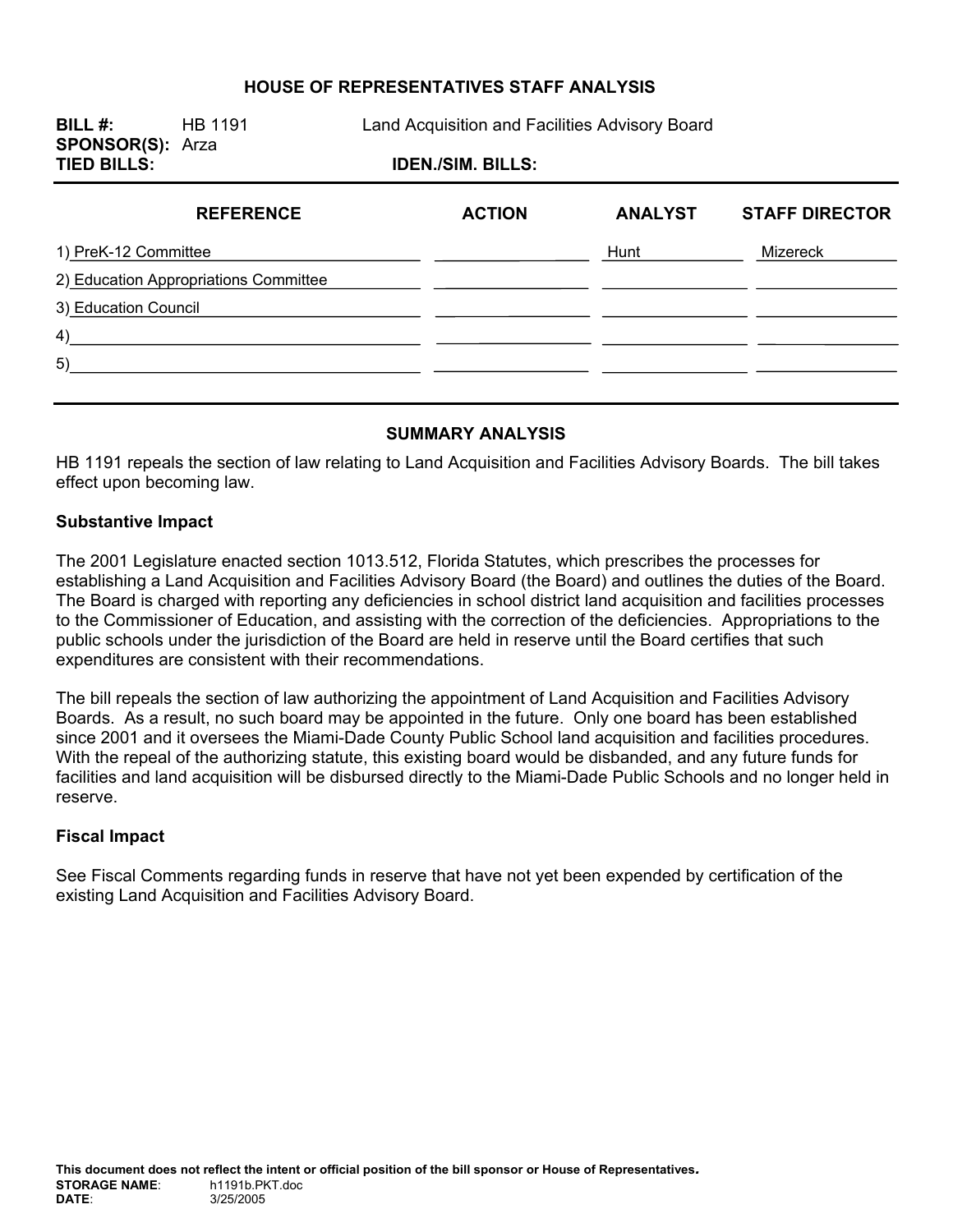## **HOUSE OF REPRESENTATIVES STAFF ANALYSIS**

**BILL #:** HB 1191 Land Acquisition and Facilities Advisory Board **SPONSOR(S):** Arza **TIED BILLS: IDEN./SIM. BILLS: REFERENCE ACTION ANALYST STAFF DIRECTOR** 

| 1) PreK-12 Committee                  | Hunt | Mizereck |
|---------------------------------------|------|----------|
| 2) Education Appropriations Committee |      |          |
| 3) Education Council                  |      |          |
| 4)                                    |      |          |
| 5)                                    |      |          |
|                                       |      |          |

## **SUMMARY ANALYSIS**

HB 1191 repeals the section of law relating to Land Acquisition and Facilities Advisory Boards. The bill takes effect upon becoming law.

#### **Substantive Impact**

The 2001 Legislature enacted section 1013.512, Florida Statutes, which prescribes the processes for establishing a Land Acquisition and Facilities Advisory Board (the Board) and outlines the duties of the Board. The Board is charged with reporting any deficiencies in school district land acquisition and facilities processes to the Commissioner of Education, and assisting with the correction of the deficiencies. Appropriations to the public schools under the jurisdiction of the Board are held in reserve until the Board certifies that such expenditures are consistent with their recommendations.

The bill repeals the section of law authorizing the appointment of Land Acquisition and Facilities Advisory Boards. As a result, no such board may be appointed in the future. Only one board has been established since 2001 and it oversees the Miami-Dade County Public School land acquisition and facilities procedures. With the repeal of the authorizing statute, this existing board would be disbanded, and any future funds for facilities and land acquisition will be disbursed directly to the Miami-Dade Public Schools and no longer held in reserve.

## **Fiscal Impact**

See Fiscal Comments regarding funds in reserve that have not yet been expended by certification of the existing Land Acquisition and Facilities Advisory Board.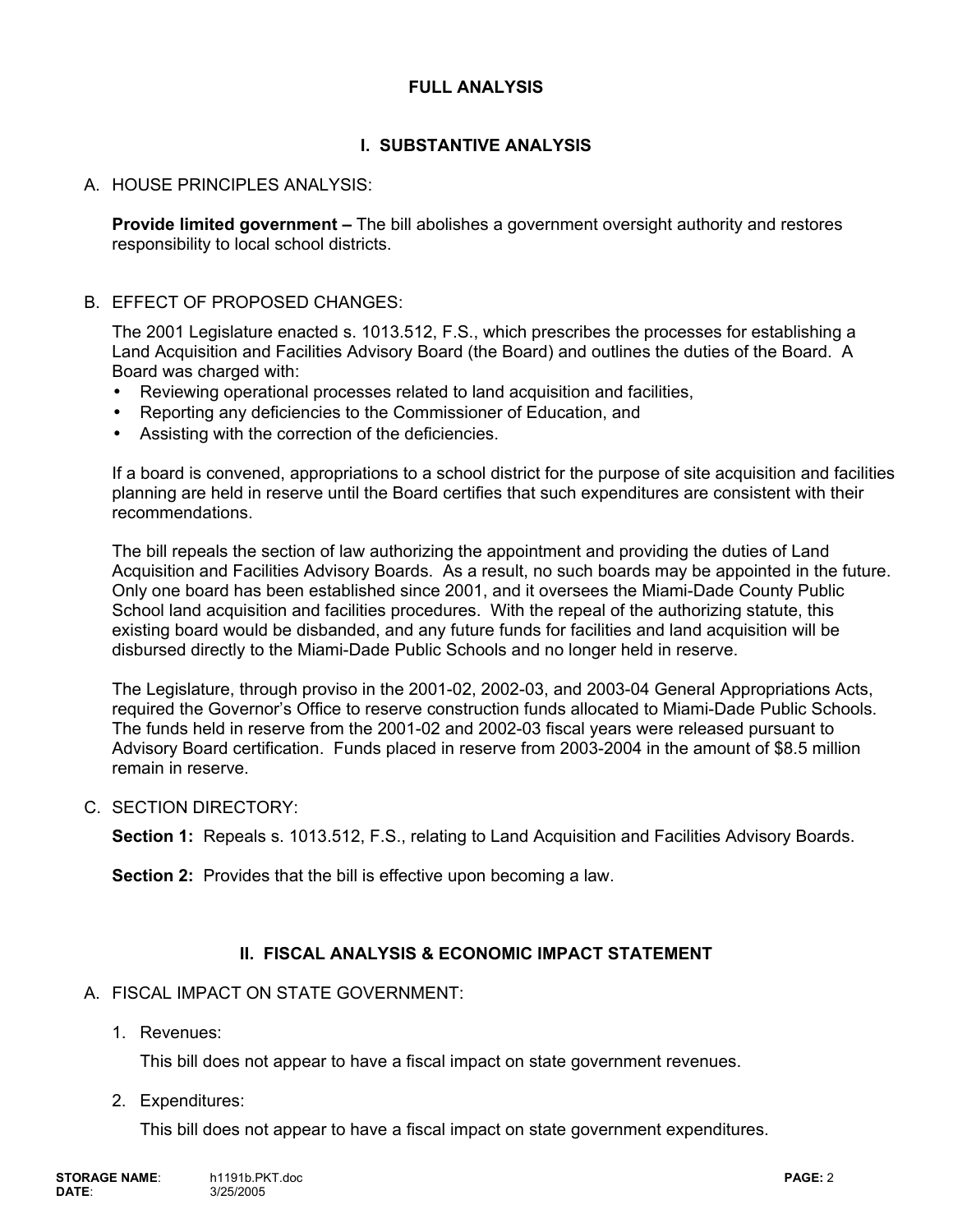## **FULL ANALYSIS**

# **I. SUBSTANTIVE ANALYSIS**

# A. HOUSE PRINCIPLES ANALYSIS:

**Provide limited government –** The bill abolishes a government oversight authority and restores responsibility to local school districts.

## B. EFFECT OF PROPOSED CHANGES:

The 2001 Legislature enacted s. 1013.512, F.S., which prescribes the processes for establishing a Land Acquisition and Facilities Advisory Board (the Board) and outlines the duties of the Board. A Board was charged with:

- Reviewing operational processes related to land acquisition and facilities,
- Reporting any deficiencies to the Commissioner of Education, and
- Assisting with the correction of the deficiencies.

If a board is convened, appropriations to a school district for the purpose of site acquisition and facilities planning are held in reserve until the Board certifies that such expenditures are consistent with their recommendations.

The bill repeals the section of law authorizing the appointment and providing the duties of Land Acquisition and Facilities Advisory Boards. As a result, no such boards may be appointed in the future. Only one board has been established since 2001, and it oversees the Miami-Dade County Public School land acquisition and facilities procedures. With the repeal of the authorizing statute, this existing board would be disbanded, and any future funds for facilities and land acquisition will be disbursed directly to the Miami-Dade Public Schools and no longer held in reserve.

The Legislature, through proviso in the 2001-02, 2002-03, and 2003-04 General Appropriations Acts, required the Governor's Office to reserve construction funds allocated to Miami-Dade Public Schools. The funds held in reserve from the 2001-02 and 2002-03 fiscal years were released pursuant to Advisory Board certification. Funds placed in reserve from 2003-2004 in the amount of \$8.5 million remain in reserve.

## C. SECTION DIRECTORY:

**Section 1:** Repeals s. 1013.512, F.S., relating to Land Acquisition and Facilities Advisory Boards.

**Section 2:** Provides that the bill is effective upon becoming a law.

## **II. FISCAL ANALYSIS & ECONOMIC IMPACT STATEMENT**

## A. FISCAL IMPACT ON STATE GOVERNMENT:

1. Revenues:

This bill does not appear to have a fiscal impact on state government revenues.

2. Expenditures:

This bill does not appear to have a fiscal impact on state government expenditures.